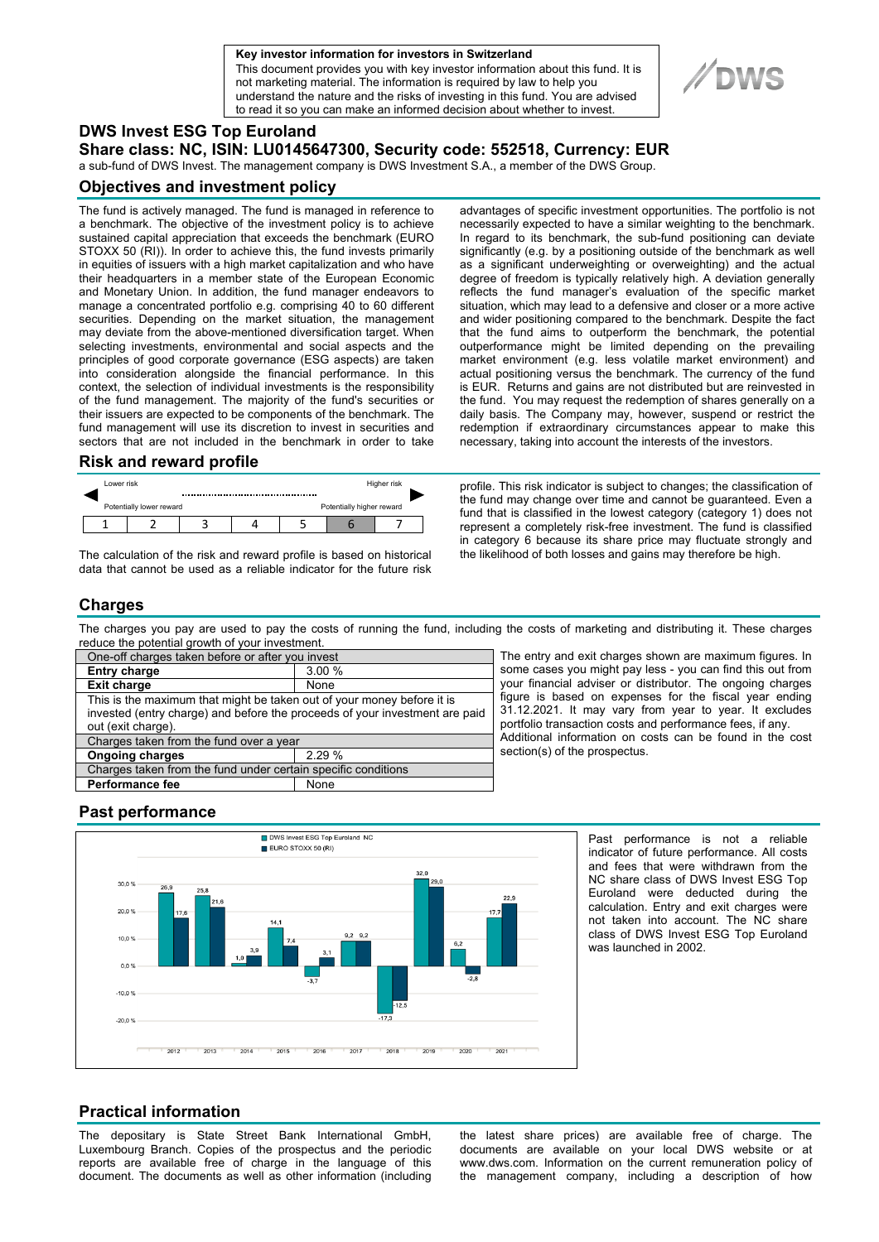

This document provides you with key investor information about this fund. It is not marketing material. The information is required by law to help you understand the nature and the risks of investing in this fund. You are advised to read it so you can make an informed decision about whether to invest.



## **DWS Invest ESG Top Euroland**

**Share class: NC, ISIN: LU0145647300, Security code: 552518, Currency: EUR** 

a sub-fund of DWS Invest. The management company is DWS Investment S.A., a member of the DWS Group.

### **Objectives and investment policy**

The fund is actively managed. The fund is managed in reference to a benchmark. The objective of the investment policy is to achieve sustained capital appreciation that exceeds the benchmark (EURO STOXX 50 (RI)). In order to achieve this, the fund invests primarily in equities of issuers with a high market capitalization and who have their headquarters in a member state of the European Economic and Monetary Union. In addition, the fund manager endeavors to manage a concentrated portfolio e.g. comprising 40 to 60 different securities. Depending on the market situation, the management may deviate from the above-mentioned diversification target. When selecting investments, environmental and social aspects and the principles of good corporate governance (ESG aspects) are taken into consideration alongside the financial performance. In this context, the selection of individual investments is the responsibility of the fund management. The majority of the fund's securities or their issuers are expected to be components of the benchmark. The fund management will use its discretion to invest in securities and sectors that are not included in the benchmark in order to take

#### **Risk and reward profile**

| Lower risk |                          |  | Higher risk |                           |  |  |  |
|------------|--------------------------|--|-------------|---------------------------|--|--|--|
|            | Potentially lower reward |  |             | Potentially higher reward |  |  |  |
|            |                          |  |             |                           |  |  |  |

The calculation of the risk and reward profile is based on historical data that cannot be used as a reliable indicator for the future risk advantages of specific investment opportunities. The portfolio is not necessarily expected to have a similar weighting to the benchmark. In regard to its benchmark, the sub-fund positioning can deviate significantly (e.g. by a positioning outside of the benchmark as well as a significant underweighting or overweighting) and the actual degree of freedom is typically relatively high. A deviation generally reflects the fund manager's evaluation of the specific market situation, which may lead to a defensive and closer or a more active and wider positioning compared to the benchmark. Despite the fact that the fund aims to outperform the benchmark, the potential outperformance might be limited depending on the prevailing market environment (e.g. less volatile market environment) and actual positioning versus the benchmark. The currency of the fund is EUR. Returns and gains are not distributed but are reinvested in the fund. You may request the redemption of shares generally on a daily basis. The Company may, however, suspend or restrict the redemption if extraordinary circumstances appear to make this necessary, taking into account the interests of the investors.

profile. This risk indicator is subject to changes; the classification of the fund may change over time and cannot be guaranteed. Even a fund that is classified in the lowest category (category 1) does not represent a completely risk-free investment. The fund is classified in category 6 because its share price may fluctuate strongly and the likelihood of both losses and gains may therefore be high.

# **Charges**

The charges you pay are used to pay the costs of running the fund, including the costs of marketing and distributing it. These charges reduce the potential growth of your investment.

| One-off charges taken before or after you invest                            |       |  |  |  |  |
|-----------------------------------------------------------------------------|-------|--|--|--|--|
| <b>Entry charge</b>                                                         | 3.00% |  |  |  |  |
| <b>Exit charge</b>                                                          | None  |  |  |  |  |
| This is the maximum that might be taken out of your money before it is      |       |  |  |  |  |
| invested (entry charge) and before the proceeds of your investment are paid |       |  |  |  |  |
| out (exit charge).                                                          |       |  |  |  |  |
| Charges taken from the fund over a year                                     |       |  |  |  |  |
| <b>Ongoing charges</b>                                                      | 2.29% |  |  |  |  |
| Charges taken from the fund under certain specific conditions               |       |  |  |  |  |
| <b>Performance fee</b>                                                      | None  |  |  |  |  |

The entry and exit charges shown are maximum figures. In some cases you might pay less - you can find this out from your financial adviser or distributor. The ongoing charges figure is based on expenses for the fiscal year ending 31.12.2021. It may vary from year to year. It excludes portfolio transaction costs and performance fees, if any. Additional information on costs can be found in the cost section(s) of the prospectus.

# **Past performance**



Past performance is not a reliable indicator of future performance. All costs and fees that were withdrawn from the NC share class of DWS Invest ESG Top Euroland were deducted during the calculation. Entry and exit charges were not taken into account. The NC share class of DWS Invest ESG Top Euroland was launched in 2002.

# **Practical information**

The depositary is State Street Bank International GmbH, Luxembourg Branch. Copies of the prospectus and the periodic reports are available free of charge in the language of this document. The documents as well as other information (including

the latest share prices) are available free of charge. The documents are available on your local DWS website or at www.dws.com. Information on the current remuneration policy of the management company, including a description of how